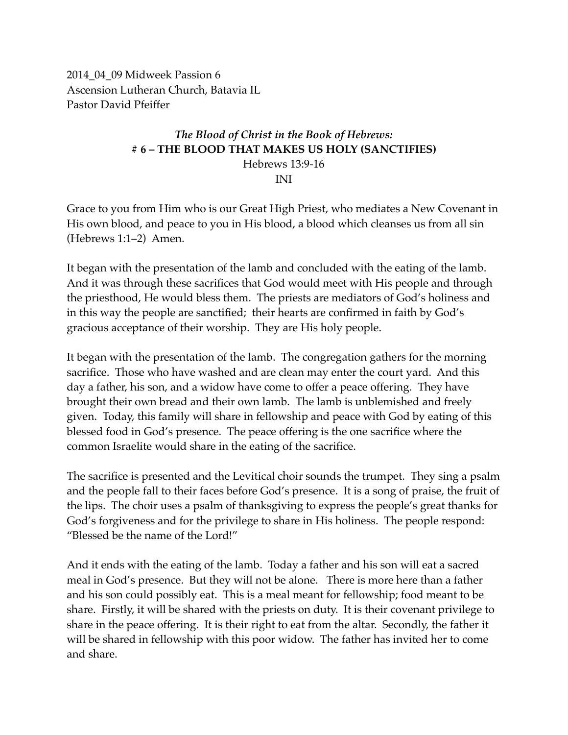2014\_04\_09 Midweek Passion 6 Ascension Lutheran Church, Batavia IL Pastor David Pfeiffer

### *The Blood of Christ in the Book of Hebrews:* **# 6 – THE BLOOD THAT MAKES US HOLY (SANCTIFIES)** Hebrews 13:9-16 INI

Grace to you from Him who is our Great High Priest, who mediates a New Covenant in His own blood, and peace to you in His blood, a blood which cleanses us from all sin (Hebrews 1:1–2) Amen.

It began with the presentation of the lamb and concluded with the eating of the lamb. And it was through these sacrifices that God would meet with His people and through the priesthood, He would bless them. The priests are mediators of God's holiness and in this way the people are sanctified; their hearts are confirmed in faith by God's gracious acceptance of their worship. They are His holy people.

It began with the presentation of the lamb. The congregation gathers for the morning sacrifice. Those who have washed and are clean may enter the court yard. And this day a father, his son, and a widow have come to offer a peace offering. They have brought their own bread and their own lamb. The lamb is unblemished and freely given. Today, this family will share in fellowship and peace with God by eating of this blessed food in God's presence. The peace offering is the one sacrifice where the common Israelite would share in the eating of the sacrifice.

The sacrifice is presented and the Levitical choir sounds the trumpet. They sing a psalm and the people fall to their faces before God's presence. It is a song of praise, the fruit of the lips. The choir uses a psalm of thanksgiving to express the people's great thanks for God's forgiveness and for the privilege to share in His holiness. The people respond: "Blessed be the name of the Lord!"

And it ends with the eating of the lamb. Today a father and his son will eat a sacred meal in God's presence. But they will not be alone. There is more here than a father and his son could possibly eat. This is a meal meant for fellowship; food meant to be share. Firstly, it will be shared with the priests on duty. It is their covenant privilege to share in the peace offering. It is their right to eat from the altar. Secondly, the father it will be shared in fellowship with this poor widow. The father has invited her to come and share.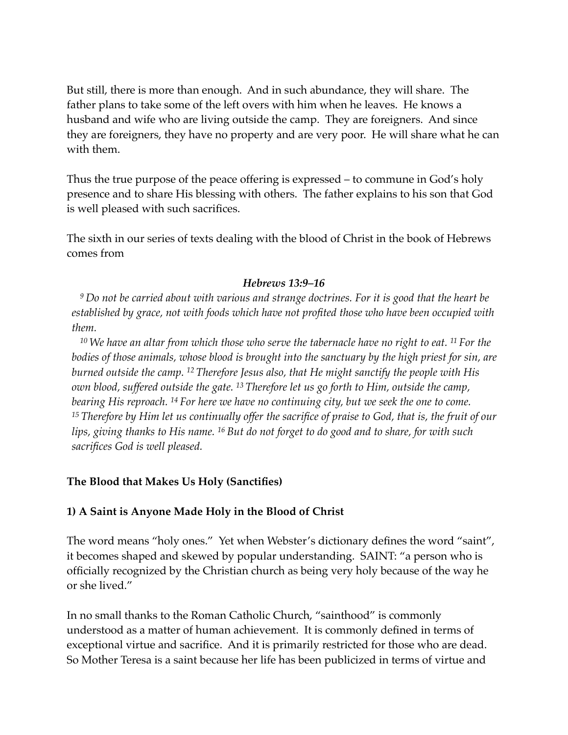But still, there is more than enough. And in such abundance, they will share. The father plans to take some of the left overs with him when he leaves. He knows a husband and wife who are living outside the camp. They are foreigners. And since they are foreigners, they have no property and are very poor. He will share what he can with them.

Thus the true purpose of the peace offering is expressed – to commune in God's holy presence and to share His blessing with others. The father explains to his son that God is well pleased with such sacrifices.

The sixth in our series of texts dealing with the blood of Christ in the book of Hebrews comes from

#### *Hebrews 13:9–16*

*<sup>9</sup> Do not be carried about with various and strange doctrines. For it is good that the heart be established by grace, not with foods which have not profited those who have been occupied with them.*

*<sup>10</sup> We have an altar from which those who serve the tabernacle have no right to eat. 11 For the bodies of those animals, whose blood is brought into the sanctuary by the high priest for sin, are burned outside the camp. 12 Therefore Jesus also, that He might sanctify the people with His own blood, suffered outside the gate. 13 Therefore let us go forth to Him, outside the camp, bearing His reproach. 14 For here we have no continuing city, but we seek the one to come. <sup>15</sup> Therefore by Him let us continually offer the sacrifice of praise to God, that is, the fruit of our lips, giving thanks to His name. 16 But do not forget to do good and to share, for with such sacrifices God is well pleased.*

#### **The Blood that Makes Us Holy (Sanctifies)**

#### **1) A Saint is Anyone Made Holy in the Blood of Christ**

The word means "holy ones." Yet when Webster's dictionary defines the word "saint", it becomes shaped and skewed by popular understanding. SAINT: "a person who is officially recognized by the Christian church as being very holy because of the way he or she lived."

In no small thanks to the Roman Catholic Church, "sainthood" is commonly understood as a matter of human achievement. It is commonly defined in terms of exceptional virtue and sacrifice. And it is primarily restricted for those who are dead. So Mother Teresa is a saint because her life has been publicized in terms of virtue and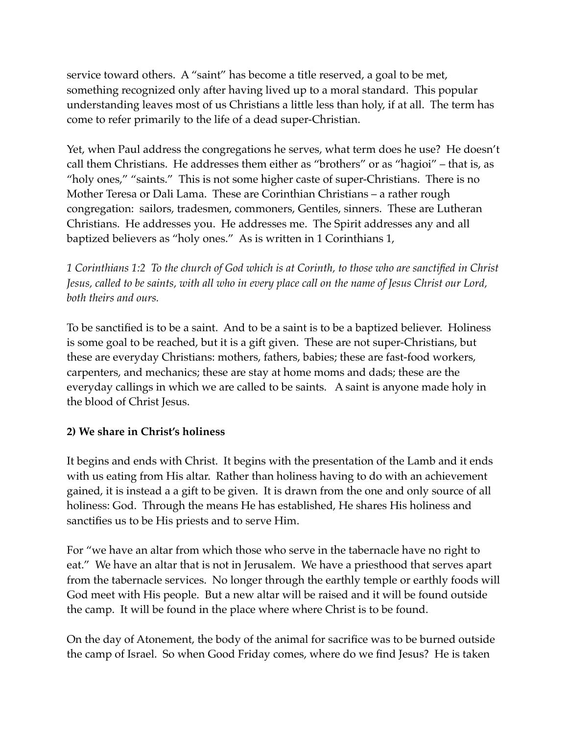service toward others. A "saint" has become a title reserved, a goal to be met, something recognized only after having lived up to a moral standard. This popular understanding leaves most of us Christians a little less than holy, if at all. The term has come to refer primarily to the life of a dead super-Christian.

Yet, when Paul address the congregations he serves, what term does he use? He doesn't call them Christians. He addresses them either as "brothers" or as "hagioi" – that is, as "holy ones," "saints." This is not some higher caste of super-Christians. There is no Mother Teresa or Dali Lama. These are Corinthian Christians – a rather rough congregation: sailors, tradesmen, commoners, Gentiles, sinners. These are Lutheran Christians. He addresses you. He addresses me. The Spirit addresses any and all baptized believers as "holy ones." As is written in 1 Corinthians 1,

*1 Corinthians 1:2 To the church of God which is at Corinth, to those who are sanctified in Christ Jesus, called to be saints, with all who in every place call on the name of Jesus Christ our Lord, both theirs and ours.*

To be sanctified is to be a saint. And to be a saint is to be a baptized believer. Holiness is some goal to be reached, but it is a gift given. These are not super-Christians, but these are everyday Christians: mothers, fathers, babies; these are fast-food workers, carpenters, and mechanics; these are stay at home moms and dads; these are the everyday callings in which we are called to be saints. A saint is anyone made holy in the blood of Christ Jesus.

## **2) We share in Christ's holiness**

It begins and ends with Christ. It begins with the presentation of the Lamb and it ends with us eating from His altar. Rather than holiness having to do with an achievement gained, it is instead a a gift to be given. It is drawn from the one and only source of all holiness: God. Through the means He has established, He shares His holiness and sanctifies us to be His priests and to serve Him.

For "we have an altar from which those who serve in the tabernacle have no right to eat." We have an altar that is not in Jerusalem. We have a priesthood that serves apart from the tabernacle services. No longer through the earthly temple or earthly foods will God meet with His people. But a new altar will be raised and it will be found outside the camp. It will be found in the place where where Christ is to be found.

On the day of Atonement, the body of the animal for sacrifice was to be burned outside the camp of Israel. So when Good Friday comes, where do we find Jesus? He is taken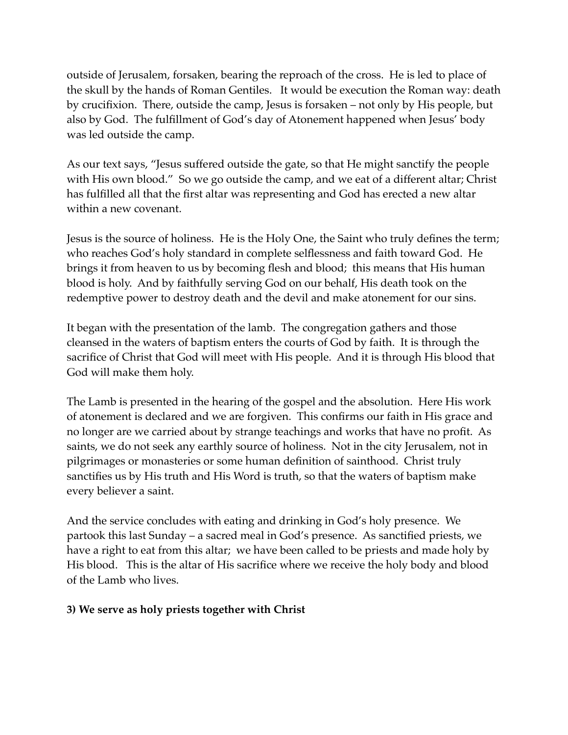outside of Jerusalem, forsaken, bearing the reproach of the cross. He is led to place of the skull by the hands of Roman Gentiles. It would be execution the Roman way: death by crucifixion. There, outside the camp, Jesus is forsaken – not only by His people, but also by God. The fulfillment of God's day of Atonement happened when Jesus' body was led outside the camp.

As our text says, "Jesus suffered outside the gate, so that He might sanctify the people with His own blood." So we go outside the camp, and we eat of a different altar; Christ has fulfilled all that the first altar was representing and God has erected a new altar within a new covenant.

Jesus is the source of holiness. He is the Holy One, the Saint who truly defines the term; who reaches God's holy standard in complete selflessness and faith toward God. He brings it from heaven to us by becoming flesh and blood; this means that His human blood is holy. And by faithfully serving God on our behalf, His death took on the redemptive power to destroy death and the devil and make atonement for our sins.

It began with the presentation of the lamb. The congregation gathers and those cleansed in the waters of baptism enters the courts of God by faith. It is through the sacrifice of Christ that God will meet with His people. And it is through His blood that God will make them holy.

The Lamb is presented in the hearing of the gospel and the absolution. Here His work of atonement is declared and we are forgiven. This confirms our faith in His grace and no longer are we carried about by strange teachings and works that have no profit. As saints, we do not seek any earthly source of holiness. Not in the city Jerusalem, not in pilgrimages or monasteries or some human definition of sainthood. Christ truly sanctifies us by His truth and His Word is truth, so that the waters of baptism make every believer a saint.

And the service concludes with eating and drinking in God's holy presence. We partook this last Sunday – a sacred meal in God's presence. As sanctified priests, we have a right to eat from this altar; we have been called to be priests and made holy by His blood. This is the altar of His sacrifice where we receive the holy body and blood of the Lamb who lives.

## **3) We serve as holy priests together with Christ**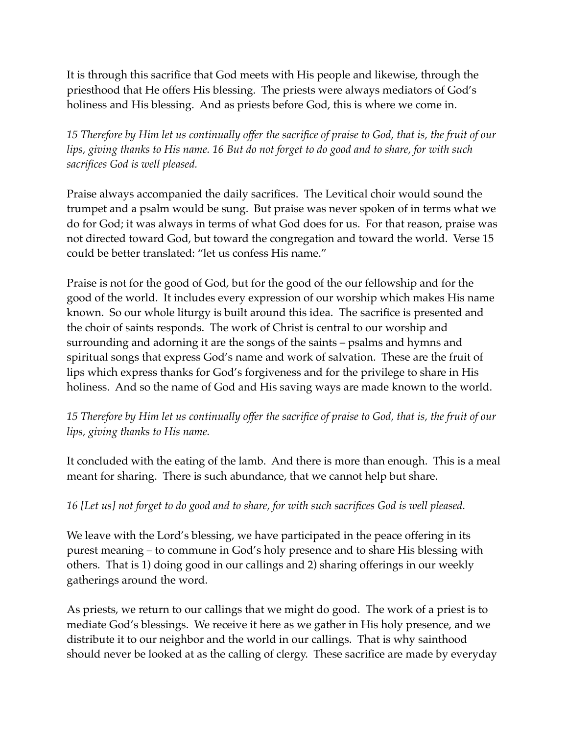It is through this sacrifice that God meets with His people and likewise, through the priesthood that He offers His blessing. The priests were always mediators of God's holiness and His blessing. And as priests before God, this is where we come in.

*15 Therefore by Him let us continually offer the sacrifice of praise to God, that is, the fruit of our lips, giving thanks to His name. 16 But do not forget to do good and to share, for with such sacrifices God is well pleased.*

Praise always accompanied the daily sacrifices. The Levitical choir would sound the trumpet and a psalm would be sung. But praise was never spoken of in terms what we do for God; it was always in terms of what God does for us. For that reason, praise was not directed toward God, but toward the congregation and toward the world. Verse 15 could be better translated: "let us confess His name."

Praise is not for the good of God, but for the good of the our fellowship and for the good of the world. It includes every expression of our worship which makes His name known. So our whole liturgy is built around this idea. The sacrifice is presented and the choir of saints responds. The work of Christ is central to our worship and surrounding and adorning it are the songs of the saints – psalms and hymns and spiritual songs that express God's name and work of salvation. These are the fruit of lips which express thanks for God's forgiveness and for the privilege to share in His holiness. And so the name of God and His saving ways are made known to the world.

# *15 Therefore by Him let us continually offer the sacrifice of praise to God, that is, the fruit of our lips, giving thanks to His name.*

It concluded with the eating of the lamb. And there is more than enough. This is a meal meant for sharing. There is such abundance, that we cannot help but share.

## *16 [Let us] not forget to do good and to share, for with such sacrifices God is well pleased.*

We leave with the Lord's blessing, we have participated in the peace offering in its purest meaning – to commune in God's holy presence and to share His blessing with others. That is 1) doing good in our callings and 2) sharing offerings in our weekly gatherings around the word.

As priests, we return to our callings that we might do good. The work of a priest is to mediate God's blessings. We receive it here as we gather in His holy presence, and we distribute it to our neighbor and the world in our callings. That is why sainthood should never be looked at as the calling of clergy. These sacrifice are made by everyday